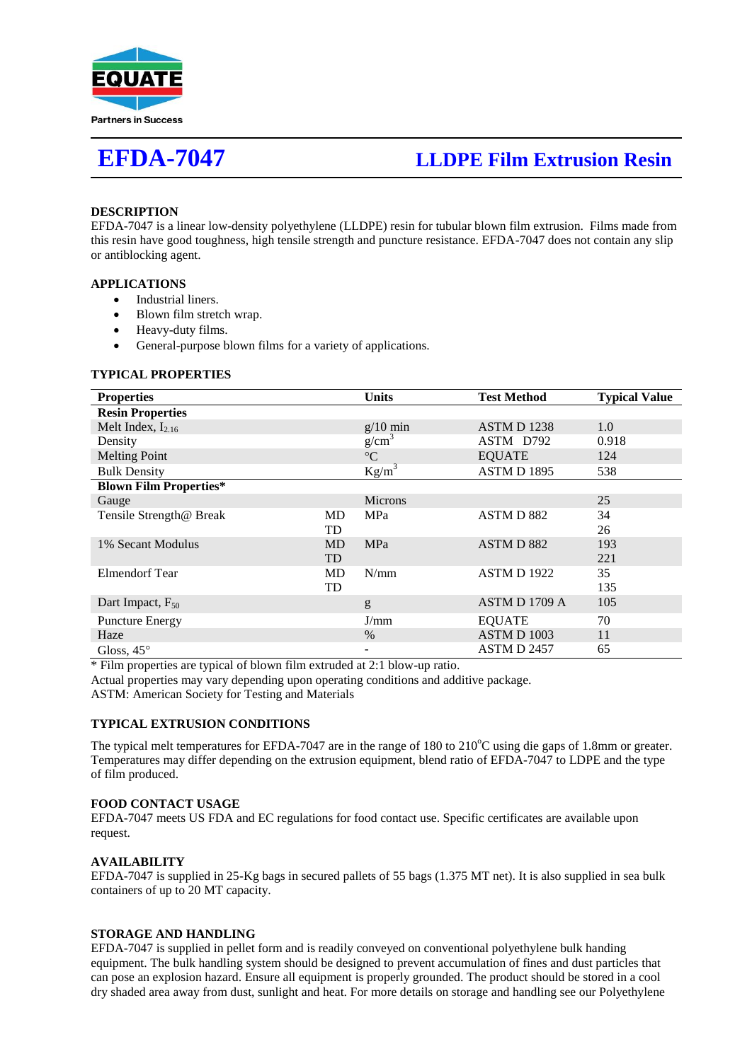

# **EFDA-7047 LLDPE Film Extrusion Resin**

# **DESCRIPTION**

EFDA-7047 is a linear low-density polyethylene (LLDPE) resin for tubular blown film extrusion. Films made from this resin have good toughness, high tensile strength and puncture resistance. EFDA-7047 does not contain any slip or antiblocking agent.

# **APPLICATIONS**

- Industrial liners.
- Blown film stretch wrap.
- Heavy-duty films.
- General-purpose blown films for a variety of applications.

#### **TYPICAL PROPERTIES**

| <b>Properties</b>             |           | Units             | <b>Test Method</b> | <b>Typical Value</b> |
|-------------------------------|-----------|-------------------|--------------------|----------------------|
| <b>Resin Properties</b>       |           |                   |                    |                      |
| Melt Index, $I_{2,16}$        |           | $g/10$ min        | <b>ASTMD1238</b>   | 1.0                  |
| Density                       |           | g/cm <sup>3</sup> | ASTM D792          | 0.918                |
| <b>Melting Point</b>          |           | $\rm ^{\circ}C$   | <b>EQUATE</b>      | 124                  |
| <b>Bulk Density</b>           |           | $Kg/m^3$          | ASTM D 1895        | 538                  |
| <b>Blown Film Properties*</b> |           |                   |                    |                      |
| Gauge                         |           | <b>Microns</b>    |                    | 25                   |
| Tensile Strength@ Break       | MD        | MPa               | ASTMD 882          | 34                   |
|                               | TD        |                   |                    | 26                   |
| 1% Secant Modulus             | <b>MD</b> | MPa               | ASTMD 882          | 193                  |
|                               | <b>TD</b> |                   |                    | 221                  |
| <b>Elmendorf Tear</b>         | MD        | N/mm              | <b>ASTM D 1922</b> | 35                   |
|                               | TD        |                   |                    | 135                  |
| Dart Impact, $F_{50}$         |           | g                 | ASTM D 1709 A      | 105                  |
| <b>Puncture Energy</b>        |           | J/mm              | <b>EQUATE</b>      | 70                   |
| Haze                          |           | $\%$              | ASTM D 1003        | 11                   |
| Gloss, $45^\circ$             |           | -                 | ASTM D 2457        | 65                   |

\* Film properties are typical of blown film extruded at 2:1 blow-up ratio.

Actual properties may vary depending upon operating conditions and additive package.

ASTM: American Society for Testing and Materials

### **TYPICAL EXTRUSION CONDITIONS**

The typical melt temperatures for EFDA-7047 are in the range of  $180$  to  $210^{\circ}$ C using die gaps of 1.8mm or greater. Temperatures may differ depending on the extrusion equipment, blend ratio of EFDA-7047 to LDPE and the type of film produced.

### **FOOD CONTACT USAGE**

EFDA-7047 meets US FDA and EC regulations for food contact use. Specific certificates are available upon request.

### **AVAILABILITY**

EFDA-7047 is supplied in 25-Kg bags in secured pallets of 55 bags (1.375 MT net). It is also supplied in sea bulk containers of up to 20 MT capacity.

#### **STORAGE AND HANDLING**

EFDA-7047 is supplied in pellet form and is readily conveyed on conventional polyethylene bulk handing equipment. The bulk handling system should be designed to prevent accumulation of fines and dust particles that can pose an explosion hazard. Ensure all equipment is properly grounded. The product should be stored in a cool dry shaded area away from dust, sunlight and heat. For more details on storage and handling see our Polyethylene